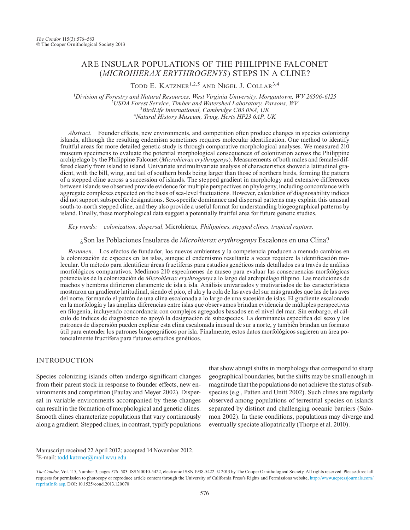# ARE INSULAR POPULATIONS OF THE PHILIPPINE FALCONET (*MICROHIERAX ERYTHROGENYS*) STEPS IN A CLINE?

TODD E. KATZNER<sup>1,2,5</sup> AND NIGEL J. COLLAR<sup>3,4</sup>

<sup>1</sup>*Division of Forestry and Natural Resources, West Virginia University, Morgantown, WV 26506-6125* <sup>2</sup> <sup>2</sup>USDA Forest Service, Timber and Watershed Laboratory, Parsons, WV<br><sup>3</sup>BirdLife International, Cambridge CB3 0NA, UK *BirdLife International, Cambridge CB3 0NA, UK* <sup>4</sup>*Natural History Museum, Tring, Herts HP23 6AP, UK*

*Abstract.* Founder effects, new environments, and competition often produce changes in species colonizing islands, although the resulting endemism sometimes requires molecular identification. One method to identify fruitful areas for more detailed genetic study is through comparative morphological analyses. We measured 210 museum specimens to evaluate the potential morphological consequences of colonization across the Philippine archipelago by the Philippine Falconet (*Microhierax erythrogenys*). Measurements of both males and females differed clearly from island to island. Univariate and multivariate analysis of characteristics showed a latitudinal gradient, with the bill, wing, and tail of southern birds being larger than those of northern birds, forming the pattern of a stepped cline across a succession of islands. The stepped gradient in morphology and extensive differences between islands we observed provide evidence for multiple perspectives on phylogeny, including concordance with aggregate complexes expected on the basis of sea-level fluctuations. However, calculation of diagnosability indices did not support subspecific designations. Sex-specific dominance and dispersal patterns may explain this unusual south-to-north stepped cline, and they also provide a useful format for understanding biogeographical patterns by island. Finally, these morphological data suggest a potentially fruitful area for future genetic studies.

*Key words: colonization, dispersal,* Microhierax*, Philippines, stepped clines, tropical raptors.*

¿Son las Poblaciones Insulares de *Microhierax erythrogenys* Escalones en una Clina?

*Resumen*. Los efectos de fundador, los nuevos ambientes y la competencia producen a menudo cambios en la colonización de especies en las islas, aunque el endemismo resultante a veces requiere la identificación molecular. Un método para identificar áreas fructíferas para estudios genéticos más detallados es a través de análisis morfológicos comparativos. Medimos 210 especímenes de museo para evaluar las consecuencias morfológicas potenciales de la colonización de *Microhierax erythrogenys* a lo largo del archipiélago filipino. Las mediciones de machos y hembras difirieron claramente de isla a isla. Análisis univariados y mutivariados de las características mostraron un gradiente latitudinal, siendo el pico, el ala y la cola de las aves del sur más grandes que las de las aves del norte, formando el patrón de una clina escalonada a lo largo de una sucesión de islas. El gradiente escalonado en la morfología y las amplias diferencias entre islas que observamos brindan evidencia de múltiples perspectivas en filogenia, incluyendo concordancia con complejos agregados basados en el nivel del mar. Sin embargo, el cálculo de índices de diagnóstico no apoyó la designación de subespecies. La dominancia específica del sexo y los patrones de dispersión pueden explicar esta clina escalonada inusual de sur a norte, y también brindan un formato útil para entender los patrones biogeográficos por isla. Finalmente, estos datos morfológicos sugieren un área potencialmente fructífera para futuros estudios genéticos.

### INTRODUCTION

Species colonizing islands often undergo significant changes from their parent stock in response to founder effects, new environments and competition (Paulay and Meyer 2002). Dispersal in variable environments accompanied by these changes can result in the formation of morphological and genetic clines. Smooth clines characterize populations that vary continuously along a gradient. Stepped clines, in contrast, typify populations

that show abrupt shifts in morphology that correspond to sharp geographical boundaries, but the shifts may be small enough in magnitude that the populations do not achieve the status of subspecies (e.g., Patten and Unitt 2002). Such clines are regularly observed among populations of terrestrial species on islands separated by distinct and challenging oceanic barriers (Salomon 2002). In these conditions, populations may diverge and eventually speciate allopatrically (Thorpe et al. 2010).

5E-mail: [todd.katzner@mail.wvu.edu](mailto:todd.katzner@mail.wvu.edu) Manuscript received 22 April 2012; accepted 14 November 2012.

*The Condor,* Vol. 115, Number 3, pages 576–583. ISSN 0010-5422, electronic ISSN 1938-5422. 2013 by The Cooper Ornithological Society. All rights reserved. Please direct all requests for permission to photocopy or reproduce article content through the University of California Press's Rights and Permissions website, [http://www.ucpressjournals.com/](http://www.ucpressjournals.com/reprintInfo.asp) [reprintInfo.asp](http://www.ucpressjournals.com/reprintInfo.asp). DOI: 10.1525/cond.2013.120070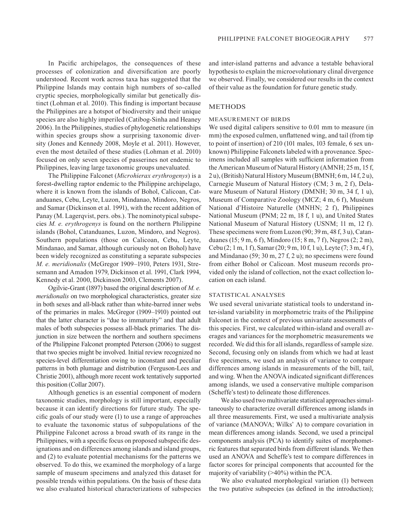In Pacific archipelagos, the consequences of these processes of colonization and diversification are poorly understood. Recent work across taxa has suggested that the Philippine Islands may contain high numbers of so-called cryptic species, morphologically similar but genetically distinct (Lohman et al. 2010). This finding is important because the Philippines are a hotspot of biodiversity and their unique species are also highly imperiled (Catibog-Sinha and Heaney 2006). In the Philippines, studies of phylogenetic relationships within species groups show a surprising taxonomic diversity (Jones and Kennedy 2008, Moyle et al. 2011). However, even the most detailed of these studies (Lohman et al. 2010) focused on only seven species of passerines not endemic to Philippines, leaving large taxonomic groups unevaluated.

The Philippine Falconet (*Microhierax erythrogenys*) is a forest-dwelling raptor endemic to the Philippine archipelago, where it is known from the islands of Bohol, Calicoan, Catanduanes, Cebu, Leyte, Luzon, Mindanao, Mindoro, Negros, and Samar (Dickinson et al. 1991), with the recent addition of Panay (M. Lagerqvist, pers. obs.). The nominotypical subspecies *M. e. erythrogenys* is found on the northern Philippine islands (Bohol, Catanduanes, Luzon, Mindoro, and Negros). Southern populations (those on Calicoan, Cebu, Leyte, Mindanao, and Samar, although curiously not on Bohol) have been widely recognized as constituting a separate subspecies *M. e. meridionalis* (McGregor 1909–1910, Peters 1931, Stresemann and Amadon 1979, Dickinson et al. 1991, Clark 1994, Kennedy et al. 2000, Dickinson 2003, Clements 2007).

Ogilvie-Grant (1897) based the original description of *M. e. meridionalis* on two morphological characteristics, greater size in both sexes and all-black rather than white-barred inner webs of the primaries in males. McGregor (1909–1910) pointed out that the latter character is "due to immaturity" and that adult males of both subspecies possess all-black primaries. The disjunction in size between the northern and southern specimens of the Philippine Falconet prompted Peterson (2006) to suggest that two species might be involved. Initial review recognized no species-level differentiation owing to inconstant and peculiar patterns in both plumage and distribution (Ferguson-Lees and Christie 2001), although more recent work tentatively supported this position (Collar 2007).

Although genetics is an essential component of modern taxonomic studies, morphology is still important, especially because it can identify directions for future study. The specific goals of our study were (1) to use a range of approaches to evaluate the taxonomic status of subpopulations of the Philippine Falconet across a broad swath of its range in the Philippines, with a specific focus on proposed subspecific designations and on differences among islands and island groups, and (2) to evaluate potential mechanisms for the patterns we observed. To do this, we examined the morphology of a large sample of museum specimens and analyzed this dataset for possible trends within populations. On the basis of these data we also evaluated historical characterizations of subspecies and inter-island patterns and advance a testable behavioral hypothesis to explain the microevolutionary clinal divergence we observed. Finally, we considered our results in the context of their value as the foundation for future genetic study.

# METHODS

### Measurement of birds

We used digital calipers sensitive to 0.01 mm to measure (in mm) the exposed culmen, unflattened wing, and tail (from tip to point of insertion) of 210 (101 males, 103 female, 6 sex unknown) Philippine Falconets labeled with a provenance. Specimens included all samples with sufficient information from the American Museum of Natural History (AMNH; 25 m, 15 f, 2 u), (British) Natural History Museum (BMNH; 6 m, 14 f, 2 u), Carnegie Museum of Natural History (CM; 3 m, 2 f), Delaware Museum of Natural History (DMNH; 30 m, 34 f, 1 u), Museum of Comparative Zoology (MCZ; 4 m, 6 f), Muséum National d'Histoire Naturelle (MNHN; 2 f), Philippines National Museum (PNM; 22 m, 18 f, 1 u), and United States National Museum of Natural History (USNM; 11 m, 12 f). These specimens were from Luzon (90; 39 m, 48 f, 3 u), Catanduanes (15; 9 m, 6 f), Mindoro (15; 8 m, 7 f), Negros (2; 2 m), Cebu (2; 1 m, 1 f), Samar (20; 9 m, 10 f, 1 u), Leyte (7; 3 m, 4 f ), and Mindanao (59; 30 m, 27 f, 2 u); no specimens were found from either Bohol or Calicoan. Most museum records provided only the island of collection, not the exact collection location on each island.

## Statistical analyses

We used several univariate statistical tools to understand inter-island variability in morphometric traits of the Philippine Falconet in the context of previous univariate assessments of this species. First, we calculated within-island and overall averages and variances for the morphometric measurements we recorded. We did this for all islands, regardless of sample size. Second, focusing only on islands from which we had at least five specimens, we used an analysis of variance to compare differences among islands in measurements of the bill, tail, and wing. When the ANOVA indicated significant differences among islands, we used a conservative multiple comparison (Scheffe's test) to delineate those differences.

We also used two multivariate statistical approaches simultaneously to characterize overall differences among islands in all three measurements. First, we used a multivariate analysis of variance (MANOVA; Wilks' Λ) to compare covariation in mean differences among islands. Second, we used a principal components analysis (PCA) to identify suites of morphometric features that separated birds from different islands. We then used an ANOVA and Scheffe's test to compare differences in factor scores for principal components that accounted for the majority of variability (>40%) within the PCA.

We also evaluated morphological variation (1) between the two putative subspecies (as defined in the introduction);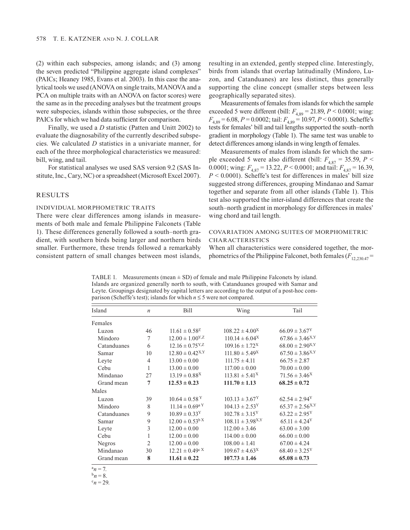(2) within each subspecies, among islands; and (3) among the seven predicted "Philippine aggregate island complexes" (PAICs; Heaney 1985, Evans et al. 2003). In this case the analytical tools we used (ANOVA on single traits, MANOVA and a PCA on multiple traits with an ANOVA on factor scores) were the same as in the preceding analyses but the treatment groups were subspecies, islands within those subspecies, or the three PAICs for which we had data sufficient for comparison.

Finally, we used a *D* statistic (Patten and Unitt 2002) to evaluate the diagnosability of the currently described subspecies. We calculated *D* statistics in a univariate manner, for each of the three morphological characteristics we measured: bill, wing, and tail.

For statistical analyses we used SAS version 9.2 (SAS Institute, Inc., Cary, NC) or a spreadsheet (Microsoft Excel 2007).

### RESULTS

#### Individual morphometric traits

There were clear differences among islands in measurements of both male and female Philippine Falconets (Table 1). These differences generally followed a south–north gradient, with southern birds being larger and northern birds smaller. Furthermore, these trends followed a remarkably consistent pattern of small changes between most islands,

resulting in an extended, gently stepped cline. Interestingly, birds from islands that overlap latitudinally (Mindoro, Luzon, and Catanduanes) are less distinct, thus generally supporting the cline concept (smaller steps between less geographically separated sites).

Measurements of females from islands for which the sample exceeded 5 were different (bill:  $F_{4,89} = 21.89, P \le 0.0001$ ; wing: *F*4,89 = 6.08, *p* = 0.0002; tail: *F*4,89 = 10.97, *p* < 0.0001). Scheffe's tests for females' bill and tail lengths supported the south–north gradient in morphology (Table 1). The same test was unable to detect differences among islands in wing length of females.

Measurements of males from islands for which the sample exceeded 5 were also different (bill:  $F_{4,87}$  = 35.59, *p* < 0.0001; wing:  $F_{4.87} = 13.22$ ,  $P < 0.0001$ ; and tail:  $F_{4.87} = 16.39$ ,  $P \le 0.0001$ ). Scheffe's test for differences in males' bill size suggested strong differences, grouping Mindanao and Samar together and separate from all other islands (Table 1). This test also supported the inter-island differences that create the south–north gradient in morphology for differences in males' wing chord and tail length.

# Covariation among suites of morphometric **CHARACTERISTICS**

When all characteristics were considered together, the morphometrics of the Philippine Falconet, both females  $(F_{12,230,47} =$ 

TABLE 1. Measurements (mean  $\pm$  SD) of female and male Philippine Falconets by island. Islands are organized generally north to south, with Catanduanes grouped with Samar and Leyte. Groupings designated by capital letters are according to the output of a post-hoc comparison (Scheffe's test); islands for which *n* ≤ 5 were not compared.

| Island      | $\boldsymbol{n}$ | Bill                            | Wing                           | Tail                          |
|-------------|------------------|---------------------------------|--------------------------------|-------------------------------|
| Females     |                  |                                 |                                |                               |
| Luzon       | 46               | $11.61 \pm 0.58$ <sup>Z</sup>   | $108.22 \pm 4.00^{\text{X}}$   | $66.09 \pm 3.67$ <sup>Y</sup> |
| Mindoro     | 7                | $12.00 \pm 1.00^{Y,Z}$          | $110.14 \pm 6.04^X$            | $67.86 \pm 3.46^{X,Y}$        |
| Catanduanes | 6                | $12.16 \pm 0.75^{Y,Z}$          | $109.16 \pm 1.72$ <sup>X</sup> | $68.00 \pm 2.90^{X,Y}$        |
| Samar       | 10               | $12.80 \pm 0.42^{X,Y}$          | $111.80 \pm 5.49^{\text{X}}$   | $67.50 \pm 3.86^{X,Y}$        |
| Leyte       | $\overline{4}$   | $13.00 \pm 0.00$                | $111.75 \pm 4.11$              | $66.75 \pm 2.87$              |
| Cebu        | $\mathbf{1}$     | $13.00 \pm 0.00$                | $117.00 \pm 0.00$              | $70.00 \pm 0.00$              |
| Mindanao    | 27               | $13.19 \pm 0.88$ <sup>X</sup>   | $113.81 \pm 5.41^{\text{X}}$   | $71.56 \pm 3.46^{\text{X}}$   |
| Grand mean  | 7                | $12.53 \pm 0.23$                | $111.70 \pm 1.13$              | $68.25 \pm 0.72$              |
| Males       |                  |                                 |                                |                               |
| Luzon       | 39               | $10.64 \pm 0.58$ <sup>Y</sup>   | $103.13 \pm 3.67$ <sup>Y</sup> | $62.54 \pm 2.94$ <sup>Y</sup> |
| Mindoro     | 8                | $11.14 \pm 0.69^{\rm a \, Y}$   | $104.13 \pm 2.53^{\text{Y}}$   | $65.37 \pm 2.56^{X,Y}$        |
| Catanduanes | 9                | $10.89 \pm 0.33^{\text{Y}}$     | $102.78 \pm 3.15^{\text{Y}}$   | $63.22 \pm 2.95^{\rm Y}$      |
| Samar       | 9                | $12.00 \pm 0.53^{b X}$          | $108.11 \pm 3.98^{X,Y}$        | $65.11 \pm 4.24$ <sup>Y</sup> |
| Leyte       | 3                | $12.00 \pm 0.00$                | $112.00 \pm 3.46$              | $63.00 \pm 3.00$              |
| Cebu        | 1                | $12.00 \pm 0.00$                | $114.00 \pm 0.00$              | $66.00 \pm 0.00$              |
| Negros      | 2                | $12.00 \pm 0.00$                | $108.00 \pm 1.41$              | $67.00 \pm 4.24$              |
| Mindanao    | 30               | $12.21 \pm 0.49$ <sup>c X</sup> | $109.67 \pm 4.63^{\text{X}}$   | $68.40 \pm 3.25^{\rm Y}$      |
| Grand mean  | 8                | $11.61 \pm 0.22$                | $107.73 \pm 1.46$              | $65.08 \pm 0.73$              |

 $a_n = 7$ .

 $^{b}n = 8.$ 

 $c_n = 29$ .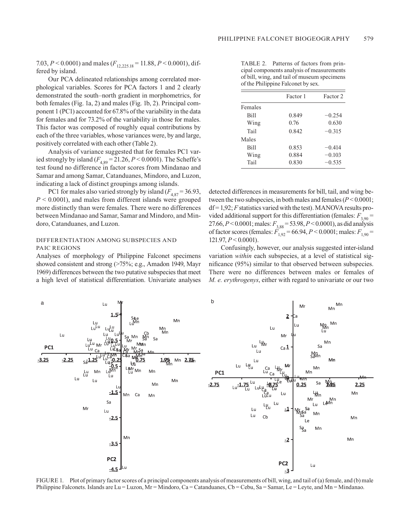7.03, *P* < 0.0001) and males ( $F_{12,225,18}$  = 11.88, *P* < 0.0001), differed by island.

Our PCA delineated relationships among correlated morphological variables. Scores for PCA factors 1 and 2 clearly demonstrated the south–north gradient in morphometrics, for both females (Fig. 1a, 2) and males (Fig. 1b, 2). Principal component 1 (PC1) accounted for 67.8% of the variability in the data for females and for 73.2% of the variability in those for males. This factor was composed of roughly equal contributions by each of the three variables, whose variances were, by and large, positively correlated with each other (Table 2).

Analysis of variance suggested that for females PC1 varied strongly by island  $(F_{4,89} = 21.26, P < 0.0001)$ . The Scheffe's test found no difference in factor scores from Mindanao and Samar and among Samar, Catanduanes, Mindoro, and Luzon, indicating a lack of distinct groupings among islands.

PC1 for males also varied strongly by island  $(F_{4,87} = 36.93,$ *P* < 0.0001), and males from different islands were grouped more distinctly than were females. There were no differences between Mindanao and Samar, Samar and Mindoro, and Mindoro, Catanduanes, and Luzon.

### Differentiation among subspecies and PAIC regions

Analyses of morphology of Philippine Falconet specimens showed consistent and strong (>75%; e.g., Amadon 1949, Mayr 1969) differences between the two putative subspecies that meet a high level of statistical differentiation. Univariate analyses

| TABLE 2. Patterns of factors from prin-     |
|---------------------------------------------|
| cipal components analysis of measurements   |
| of bill, wing, and tail of museum specimens |
| of the Philippine Falconet by sex.          |

|         | Factor 1 | Factor 2 |
|---------|----------|----------|
| Females |          |          |
| Bill    | 0.849    | $-0.254$ |
| Wing    | 0.76     | 0.630    |
| Tail    | 0.842    | $-0.315$ |
| Males   |          |          |
| Bill    | 0.853    | $-0.414$ |
| Wing    | 0.884    | $-0.103$ |
| Tail    | 0.830    | $-0.535$ |

detected differences in measurements for bill, tail, and wing between the two subspecies, in both males and females (*P* < 0.0001;  $df = 1.92$ ; *F* statistics varied with the test). MANOVA results provided additional support for this differentiation (females:  $F_{3,90}$  = 27.66, *P* < 0.0001; males: *F*3,88 = 53.98, *P* < 0.0001), as did analysis of factor scores (females:  $F_{1,92} = 66.94, P < 0.0001$ ; males:  $F_{1,90} =$ 121.97, *P* < 0.0001).

Confusingly, however, our analysis suggested inter-island variation *within* each subspecies, at a level of statistical significance (95%) similar to that observed between subspecies. There were no differences between males or females of *M. e. erythrogenys*, either with regard to univariate or our two



FIGURE 1. Plot of primary factor scores of a principal components analysis of measurements of bill, wing, and tail of (a) female, and (b) male Philippine Falconets. Islands are Lu = Luzon, Mr = Mindoro, Ca = Catanduanes, Cb = Cebu, Sa = Samar, Le = Leyte, and Mn = Mindanao.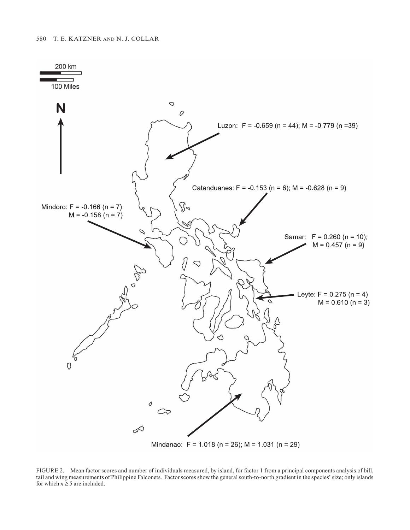

FIGURE 2. Mean factor scores and number of individuals measured, by island, for factor 1 from a principal components analysis of bill, tail and wing measurements of Philippine Falconets. Factor scores show the general south-to-north gradient in the species' size; only islands for which  $n \geq 5$  are included.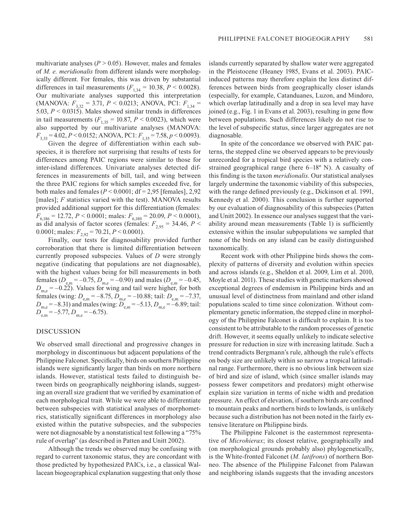multivariate analyses  $(P > 0.05)$ . However, males and females of *M. e. meridionalis* from different islands were morphologically different. For females, this was driven by substantial differences in tail measurements  $(F_{1,34} = 10.38, P < 0.0028)$ . Our multivariate analyses supported this interpretation (MANOVA:  $F_{3,32} = 3.71, P \le 0.0213$ ; ANOVA, PC1:  $F_{1,34} =$ 5.03, *P* < 0.0315). Males showed similar trends in differences in tail measurements  $(F_{1,35} = 10.87, P < 0.0023)$ , which were also supported by our multivariate analyses (MANOVA: *F*<sub>3,33</sub> = 4.02, *P* < 0.0152; ANOVA, PC1: *F*<sub>1,35</sub> = 7.58, *p* < 0.0093).

Given the degree of differentiation within each subspecies, it is therefore not surprising that results of tests for differences among PAIC regions were similar to those for inter-island differences. Univariate analyses detected differences in measurements of bill, tail, and wing between the three PAIC regions for which samples exceeded five, for both males and females ( $P < 0.0001$ ; df = 2,95 [females], 2,92 [males]; *F* statistics varied with the test). MANOVA results provided additional support for this differentiation (females:  $F_{6,186} = 12.72, P < 0.0001$ ; males:  $F_{6,180} = 20.09, P < 0.0001$ ), as did analysis of factor scores (females:  $F_{2.95} = 34.46$ ,  $P <$ 0.0001; males:  $F_{2,92} = 70.21, P \le 0.0001$ .

Finally, our tests for diagnosability provided further corroboration that there is limited differentiation between currently proposed subspecies. Values of *D* were strongly negative (indicating that populations are not diagnosable), with the highest values being for bill measurements in both females ( $D_{e,m} = -0.75$ ,  $D_{m,e} = -0.90$ ) and males ( $D_{e,m} = -0.45$ ,  $D_{\text{m,e}} = -0.22$ ). Values for wing and tail were higher, for both females (wing:  $D_{e,m} = -8.75$ ,  $D_{m,e} = -10.88$ ; tail:  $D_{e,m} = -7.37$ ,  $D_{\text{m,e}} = -8.31$ ) and males (wing:  $D_{\text{e,m}} = -5.13, D_{\text{m,e}} = -6.89$ ; tail:  $D_{\text{e,m}}$  = –5.77,  $D_{\text{m.e}}$  = –6.75).

# DISCUSSION

We observed small directional and progressive changes in morphology in discontinuous but adjacent populations of the Philippine Falconet. Specifically, birds on southern Philippine islands were significantly larger than birds on more northern islands. However, statistical tests failed to distinguish between birds on geographically neighboring islands, suggesting an overall size gradient that we verified by examination of each morphological trait. While we were able to differentiate between subspecies with statistical analyses of morphometrics, statistically significant differences in morphology also existed within the putative subspecies, and the subspecies were not diagnosable by a nonstatistical test following a "75% rule of overlap" (as described in Patten and Unitt 2002).

Although the trends we observed may be confusing with regard to current taxonomic status, they are concordant with those predicted by hypothesized PAICs, i.e., a classical Wallacean biogeographical explanation suggesting that only those

islands currently separated by shallow water were aggregated in the Pleistocene (Heaney 1985, Evans et al. 2003). PAICinduced patterns may therefore explain the less distinct differences between birds from geographically closer islands (especially, for example, Catanduanes, Luzon, and Mindoro, which overlap latitudinally and a drop in sea level may have joined (e.g., Fig. 1 in Evans et al. 2003), resulting in gene flow between populations. Such differences likely do not rise to the level of subspecific status, since larger aggregates are not diagnosable.

In spite of the concordance we observed with PAIC patterns, the stepped cline we observed appears to be previously unrecorded for a tropical bird species with a relatively constrained geographical range (here 6–18º N). A casualty of this finding is the taxon *meridionalis*. Our statistical analyses largely undermine the taxonomic viability of this subspecies, with the range defined previously (e.g., Dickinson et al. 1991, Kennedy et al. 2000). This conclusion is further supported by our evaluation of diagnosability of this subspecies (Patten and Unitt 2002). In essence our analyses suggest that the variability around mean measurements (Table 1) is sufficiently extensive within the insular subpopulations we sampled that none of the birds on any island can be easily distinguished taxonomically.

Recent work with other Philippine birds shows the complexity of patterns of diversity and evolution within species and across islands (e.g., Sheldon et al. 2009, Lim et al. 2010, Moyle et al. 2011). These studies with genetic markers showed exceptional degrees of endemism in Philippine birds and an unusual level of distinctness from mainland and other island populations scaled to time since colonization. Without complementary genetic information, the stepped cline in morphology of the Philippine Falconet is difficult to explain. It is too consistent to be attributable to the random processes of genetic drift. However, it seems equally unlikely to indicate selective pressure for reduction in size with increasing latitude. Such a trend contradicts Bergmann's rule, although the rule's effects on body size are unlikely within so narrow a tropical latitudinal range. Furthermore, there is no obvious link between size of bird and size of island, which (since smaller islands may possess fewer competitors and predators) might otherwise explain size variation in terms of niche width and predation pressure. An effect of elevation, if southern birds are confined to mountain peaks and northern birds to lowlands, is unlikely because such a distribution has not been noted in the fairly extensive literature on Philippine birds.

The Philippine Falconet is the easternmost representative of *Microhierax*; its closest relative, geographically and (on morphological grounds probably also) phylogenetically, is the White-fronted Falconet (*M. latifrons*) of northern Borneo. The absence of the Philippine Falconet from Palawan and neighboring islands suggests that the invading ancestors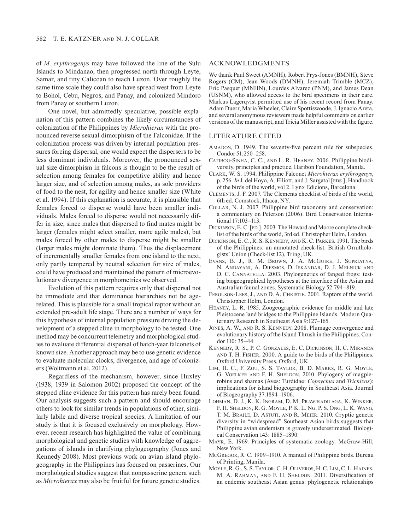of *M. erythrogenys* may have followed the line of the Sulu Islands to Mindanao, then progressed north through Leyte, Samar, and tiny Calicoan to reach Luzon. Over roughly the same time scale they could also have spread west from Leyte to Bohol, Cebu, Negros, and Panay, and colonized Mindoro from Panay or southern Luzon.

One novel, but admittedly speculative, possible explanation of this pattern combines the likely circumstances of colonization of the Philippines by *Microhierax* with the pronounced reverse sexual dimorphism of the Falconidae. If the colonization process was driven by internal population pressures forcing dispersal, one would expect the dispersers to be less dominant individuals. Moreover, the pronounced sexual size dimorphism in falcons is thought to be the result of selection among females for competitive ability and hence larger size, and of selection among males, as sole providers of food to the nest, for agility and hence smaller size (White et al. 1994). If this explanation is accurate, it is plausible that females forced to disperse would have been smaller individuals. Males forced to disperse would not necessarily differ in size, since males that dispersed to find mates might be larger (females might select smaller, more agile males), but males forced by other males to disperse might be smaller (larger males might dominate them). Thus the displacement of incrementally smaller females from one island to the next, only partly tempered by neutral selection for size of males, could have produced and maintained the pattern of microevolutionary divergence in morphometrics we observed.

Evolution of this pattern requires only that dispersal not be immediate and that dominance hierarchies not be agerelated. This is plausible for a small tropical raptor without an extended pre-adult life stage. There are a number of ways for this hypothesis of internal population pressure driving the development of a stepped cline in morphology to be tested. One method may be concurrent telemetry and morphological studies to evaluate differential dispersal of hatch-year falconets of known size. Another approach may be to use genetic evidence to evaluate molecular clocks, divergence, and age of colonizers (Woltmann et al. 2012).

Regardless of the mechanism, however, since Huxley (1938, 1939 in Salomon 2002) proposed the concept of the stepped cline evidence for this pattern has rarely been found. Our analysis suggests such a pattern and should encourage others to look for similar trends in populations of other, similarly labile and diverse tropical species. A limitation of our study is that it is focused exclusively on morphology. However, recent research has highlighted the value of combining morphological and genetic studies with knowledge of aggregations of islands in clarifying phylogeography (Jones and Kennedy 2008). Most previous work on avian island phylogeography in the Philippines has focused on passerines. Our morphological studies suggest that nonpasserine genera such as *Microhierax* may also be fruitful for future genetic studies.

#### ACKNOWLEDGMENTS

We thank Paul Sweet (AMNH), Robert Prys-Jones (BMNH), Steve Rogers (CM), Jean Woods (DMNH), Jeremiah Trimble (MCZ), Eric Pasquet (MNHN), Lourdes Alvarez (PNM), and James Dean (USNM), who allowed access to the bird specimens in their care. Markus Lagerqvist permitted use of his recent record from Panay. Adam Duerr, Maria Wheeler, Claire Spottiswoode, J. Ignacio Areta, and several anonymous reviewers made helpful comments on earlier versions of the manuscript, and Tricia Miller assisted with the figure.

### LITERATURE CITED

- Amadon, D. 1949. The seventy-five percent rule for subspecies. Condor 51:250–258.
- Catibog-Sinha, C. C., and L. R. Heaney. 2006. Philippine biodiversity, principles and practice. Haribon Foundation, Manila.
- Clark, W. S. 1994. Philippine Falconet *Microhierax erythrogenys*, p. 256. In J. del Hoyo, A. Elliott, and J. Sargatal [EDS.], Handbook of the birds of the world, vol 2. Lynx Edicions, Barcelona.
- Clements, J. F. 2007. The Clements checklist of birds of the world, 6th ed. Comstock, Ithaca, NY.
- Collar, N. J. 2007. Philippine bird taxonomy and conservation: a commentary on Peterson (2006). Bird Conservation International 17:103–113.
- DICKINSON, E. C. [ED.]. 2003. The Howard and Moore complete checklist of the birds of the world, 3rd ed. Christopher Helm, London.
- Dickinson, E. C., R. S. Kennedy, and K. C. Parkes. 1991. The birds of the Philippines: an annotated check-list. British Ornithologists' Union (Check-list 12), Tring, UK.
- Evans, B. J., R. M. Brown, J. A. McGuire, J. Supriatna, N. Andayani, A. Diesmos, D. Iskandar, D. J. Melnick and D. C. Cannatella. 2003. Phylogenetics of fanged frogs: testing biogeographical hypotheses at the interface of the Asian and Australian faunal zones. Systematic Biology 52:794–819.
- Ferguson-Lees, J., and D. A. Christie. 2001. Raptors of the world. Christopher Helm, London.
- Heaney, L. R. 1985. Zoogeographic evidence for middle and late Pleistocene land bridges to the Philippine Islands. Modern Quaternary Research in Southeast Asia 9:127–165.
- JONES, A. W., AND R. S. KENNEDY. 2008. Plumage convergence and evolutionary history of the Island Thrush in the Philippines. Condor 110: 35–44.
- Kennedy, R. S., P. C. Gonzales, E. C. Dickinson, H. C. Miranda and T. H. Fisher. 2000. A guide to the birds of the Philippines. Oxford University Press, Oxford, UK.
- Lim, H. C., F. Zou, S. S. Taylor, B. D. Marks, R. G. Moyle, G. Voelker and F. H. Sheldon. 2010. Phylogeny of magpierobins and shamas (Aves: Turdidae: *Copsychus* and *Trichixos*): implications for island biogeography in Southeast Asia. Journal of Biogeography 37:1894–1906.
- Lohman, D. J., K. K. Ingram, D. M. Prawiradilaga, K. Winker, F. H. Sheldon, R. G. Moyle, P. K. L. Ng, P. S. Ong, L. K. Wang, T. M. Braile, D. Astuti, and R. Meier. 2010. Cryptic genetic diversity in "widespread" Southeast Asian birds suggests that Philippine avian endemism is gravely underestimated. Biological Conservation 143: 1885–1890.
- Mayr, E. 1969. Principles of systematic zoology. McGraw-Hill, New York.
- McGregor, R. C. 1909–1910. A manual of Philippine birds. Bureau of Printing, Manila.
- Moyle, R. G., S. S. Taylor, C. H. Oliveros, H. C. Lim, C. L. Haines, M. A. Rahman, and F. H. Sheldon. 2011. Diversification of an endemic southeast Asian genus: phylogenetic relationships